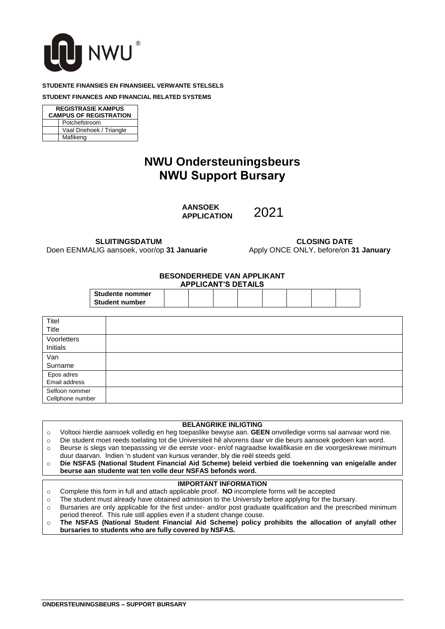

#### **STUDENTE FINANSIES EN FINANSIEEL VERWANTE STELSELS**

**STUDENT FINANCES AND FINANCIAL RELATED SYSTEMS**

**REGISTRASIE KAMPUS CAMPUS OF REGISTRATION** Potchefstroom Vaal Driehoek / Triangle Mafikeng

# **NWU Ondersteuningsbeurs NWU Support Bursary**

**AANSOEK APPLICATION**

2021

**SLUITINGSDATUM** Doen EENMALIG aansoek, voor/op **31 Januarie**

**CLOSING DATE** Apply ONCE ONLY, before/on **31 January**

#### **BESONDERHEDE VAN APPLIKANT APPLICANT'S DETAILS**

| AFFLIVANT O DETAILO    |  |  |  |  |  |  |
|------------------------|--|--|--|--|--|--|
| <b>Studente nommer</b> |  |  |  |  |  |  |
| <b>Student number</b>  |  |  |  |  |  |  |

| Titel            |  |
|------------------|--|
| Title            |  |
| Voorletters      |  |
| Initials         |  |
| Van              |  |
| Surname          |  |
| Epos adres       |  |
| Email address    |  |
| Selfoon nommer   |  |
| Cellphone number |  |

### **BELANGRIKE INLIGTING**

- o Voltooi hierdie aansoek volledig en heg toepaslike bewyse aan. **GEEN** onvolledige vorms sal aanvaar word nie.
- o Die student moet reeds toelating tot die Universiteit hê alvorens daar vir die beurs aansoek gedoen kan word.
- o Beurse is slegs van toepasssing vir die eerste voor- en/of nagraadse kwalifikasie en die voorgeskrewe minimum duur daarvan. Indien 'n student van kursus verander, bly die reël steeds geld.
- o **Die NSFAS (National Student Financial Aid Scheme) beleid verbied die toekenning van enige/alle ander beurse aan studente wat ten volle deur NSFAS befonds word.**

### **IMPORTANT INFORMATION**

- o Complete this form in full and attach applicable proof. **NO** incomplete forms will be accepted
- o The student must already have obtained admission to the University before applying for the bursary.
- o Bursaries are only applicable for the first under- and/or post graduate qualification and the prescribed minimum period thereof. This rule still applies even if a student change couse.
- o **The NSFAS (National Student Financial Aid Scheme) policy prohibits the allocation of any/all other bursaries to students who are fully covered by NSFAS.**